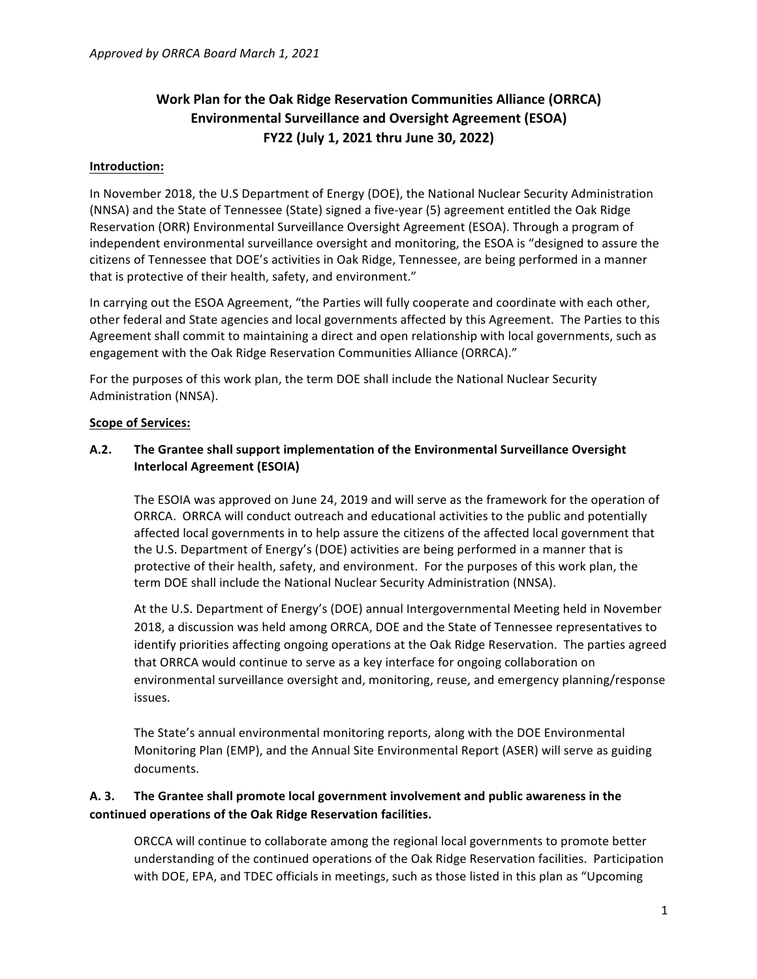# **Work Plan for the Oak Ridge Reservation Communities Alliance (ORRCA) Environmental Surveillance and Oversight Agreement (ESOA) FY22 (July 1, 2021 thru June 30, 2022)**

#### **Introduction:**

In November 2018, the U.S Department of Energy (DOE), the National Nuclear Security Administration (NNSA) and the State of Tennessee (State) signed a five-year (5) agreement entitled the Oak Ridge Reservation (ORR) Environmental Surveillance Oversight Agreement (ESOA). Through a program of independent environmental surveillance oversight and monitoring, the ESOA is "designed to assure the citizens of Tennessee that DOE's activities in Oak Ridge, Tennessee, are being performed in a manner that is protective of their health, safety, and environment."

In carrying out the ESOA Agreement, "the Parties will fully cooperate and coordinate with each other, other federal and State agencies and local governments affected by this Agreement. The Parties to this Agreement shall commit to maintaining a direct and open relationship with local governments, such as engagement with the Oak Ridge Reservation Communities Alliance (ORRCA)."

For the purposes of this work plan, the term DOE shall include the National Nuclear Security Administration (NNSA).

#### **Scope of Services:**

#### A.2. The Grantee shall support implementation of the Environmental Surveillance Oversight **Interlocal Agreement (ESOIA)**

The ESOIA was approved on June 24, 2019 and will serve as the framework for the operation of ORRCA. ORRCA will conduct outreach and educational activities to the public and potentially affected local governments in to help assure the citizens of the affected local government that the U.S. Department of Energy's (DOE) activities are being performed in a manner that is protective of their health, safety, and environment. For the purposes of this work plan, the term DOE shall include the National Nuclear Security Administration (NNSA).

At the U.S. Department of Energy's (DOE) annual Intergovernmental Meeting held in November 2018, a discussion was held among ORRCA, DOE and the State of Tennessee representatives to identify priorities affecting ongoing operations at the Oak Ridge Reservation. The parties agreed that ORRCA would continue to serve as a key interface for ongoing collaboration on environmental surveillance oversight and, monitoring, reuse, and emergency planning/response issues.

The State's annual environmental monitoring reports, along with the DOE Environmental Monitoring Plan (EMP), and the Annual Site Environmental Report (ASER) will serve as guiding documents.

# A. 3. The Grantee shall promote local government involvement and public awareness in the **continued operations of the Oak Ridge Reservation facilities.**

ORCCA will continue to collaborate among the regional local governments to promote better understanding of the continued operations of the Oak Ridge Reservation facilities. Participation with DOE, EPA, and TDEC officials in meetings, such as those listed in this plan as "Upcoming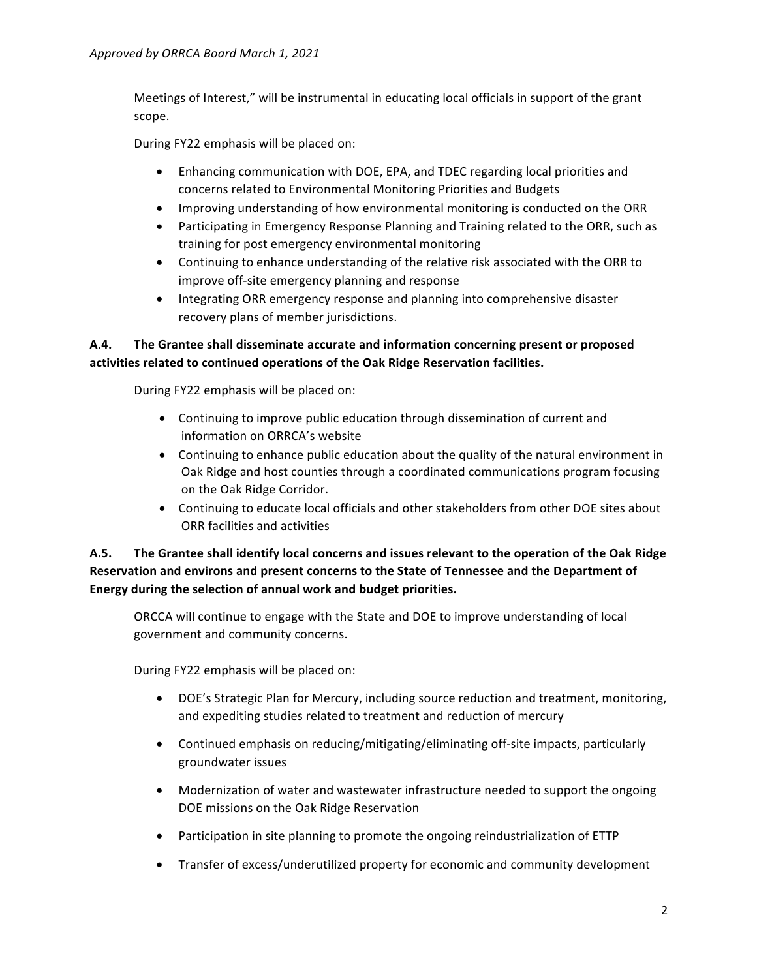Meetings of Interest," will be instrumental in educating local officials in support of the grant scope.

During FY22 emphasis will be placed on:

- Enhancing communication with DOE, EPA, and TDEC regarding local priorities and concerns related to Environmental Monitoring Priorities and Budgets
- Improving understanding of how environmental monitoring is conducted on the ORR
- Participating in Emergency Response Planning and Training related to the ORR, such as training for post emergency environmental monitoring
- Continuing to enhance understanding of the relative risk associated with the ORR to improve off-site emergency planning and response
- Integrating ORR emergency response and planning into comprehensive disaster recovery plans of member jurisdictions.

# A.4. The Grantee shall disseminate accurate and information concerning present or proposed activities related to continued operations of the Oak Ridge Reservation facilities.

During FY22 emphasis will be placed on:

- Continuing to improve public education through dissemination of current and information on ORRCA's website
- Continuing to enhance public education about the quality of the natural environment in Oak Ridge and host counties through a coordinated communications program focusing on the Oak Ridge Corridor.
- Continuing to educate local officials and other stakeholders from other DOE sites about ORR facilities and activities

# A.5. The Grantee shall identify local concerns and issues relevant to the operation of the Oak Ridge Reservation and environs and present concerns to the State of Tennessee and the Department of Energy during the selection of annual work and budget priorities.

ORCCA will continue to engage with the State and DOE to improve understanding of local government and community concerns.

During FY22 emphasis will be placed on:

- DOE's Strategic Plan for Mercury, including source reduction and treatment, monitoring, and expediting studies related to treatment and reduction of mercury
- Continued emphasis on reducing/mitigating/eliminating off-site impacts, particularly groundwater issues
- Modernization of water and wastewater infrastructure needed to support the ongoing DOE missions on the Oak Ridge Reservation
- Participation in site planning to promote the ongoing reindustrialization of ETTP
- Transfer of excess/underutilized property for economic and community development